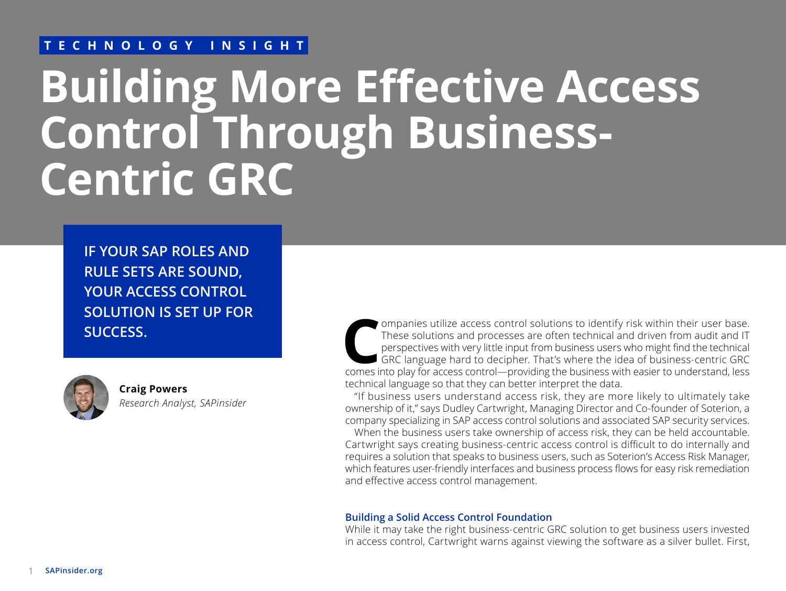#### **TECHNOLOGY INSIGHT**

# **Building More Effective Access Control Through Business-Centric GRC**

**IF YOUR SAP ROLES AND RULE SETS ARE SOUND, YOUR ACCESS CONTROL SOLUTION IS SET UP FOR SUCCESS.**



**Craig Powers** *Research Analyst, SAPinsider* Companies utilize access control solutions to identify risk within their user base.<br>
These solutions and processes are often technical and driven from audit and IT<br>
comes with very little input from business users who migh These solutions and processes are often technical and driven from audit and IT perspectives with very little input from business users who might find the technical GRC language hard to decipher. That's where the idea of business-centric GRC technical language so that they can better interpret the data.

"If business users understand access risk, they are more likely to ultimately take ownership of it," says Dudley Cartwright, Managing Director and Co-founder of Soterion, a company specializing in SAP access control solutions and associated SAP security services.

When the business users take ownership of access risk, they can be held accountable. Cartwright says creating business-centric access control is difficult to do internally and requires a solution that speaks to business users, such as Soterion's Access Risk Manager, which features user-friendly interfaces and business process flows for easy risk remediation and effective access control management.

#### **Building a Solid Access Control Foundation**

While it may take the right business-centric GRC solution to get business users invested in access control, Cartwright warns against viewing the software as a silver bullet. First,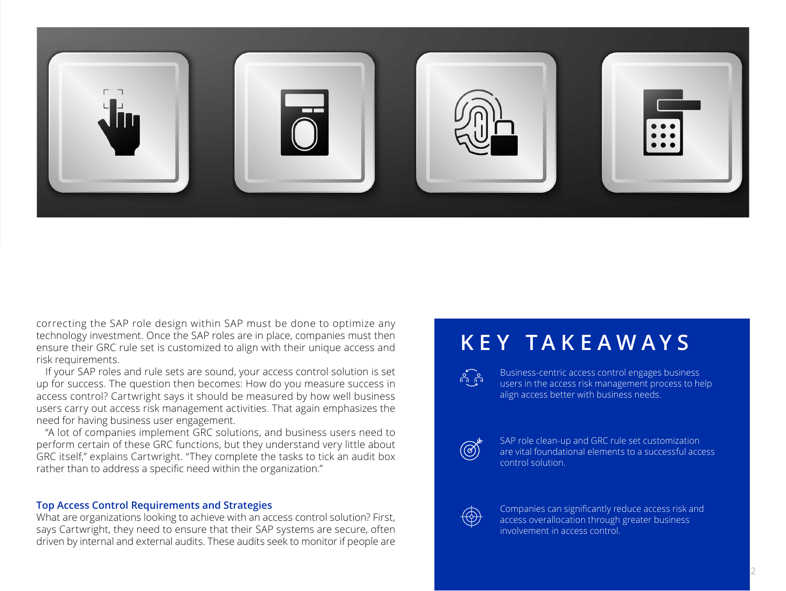

correcting the SAP role design within SAP must be done to optimize any technology investment. Once the SAP roles are in place, companies must then ensure their GRC rule set is customized to align with their unique access and risk requirements.

If your SAP roles and rule sets are sound, your access control solution is set up for success. The question then becomes: How do you measure success in access control? Cartwright says it should be measured by how well business users carry out access risk management activities. That again emphasizes the need for having business user engagement.

"A lot of companies implement GRC solutions, and business users need to perform certain of these GRC functions, but they understand very little about GRC itself," explains Cartwright. "They complete the tasks to tick an audit box rather than to address a specific need within the organization."

#### **Top Access Control Requirements and Strategies**

What are organizations looking to achieve with an access control solution? First, says Cartwright, they need to ensure that their SAP systems are secure, often driven by internal and external audits. These audits seek to monitor if people are

# **KEY TAKEAWAYS**

Business-centric access control engages business  $\frac{1}{2}$ users in the access risk management process to help align access better with business needs.



SAP role clean-up and GRC rule set customization are vital foundational elements to a successful access control solution.



Companies can significantly reduce access risk and access overallocation through greater business involvement in access control.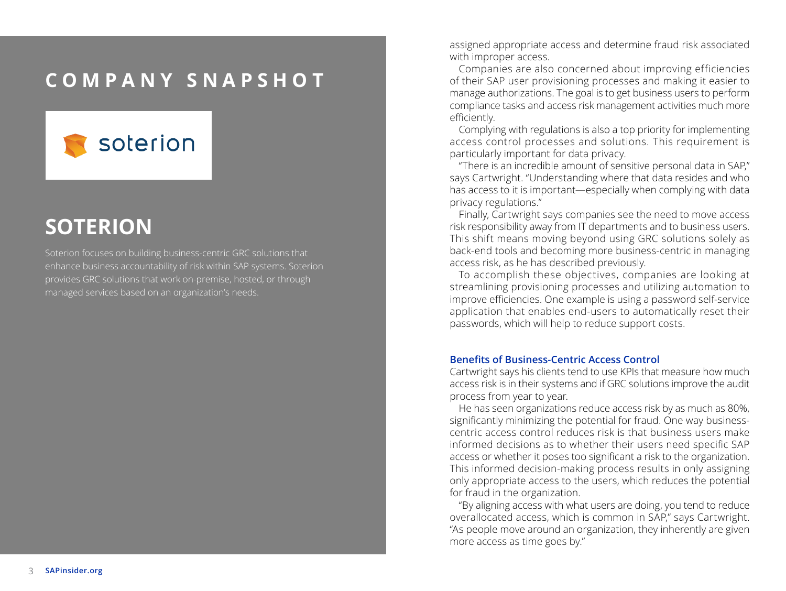### **COMPANY SNAPSHOT**



# **SOTERION**

Soterion focuses on building business-centric GRC solutions that enhance business accountability of risk within SAP systems. Soterion provides GRC solutions that work on-premise, hosted, or through managed services based on an organization's needs.

assigned appropriate access and determine fraud risk associated with improper access.

Companies are also concerned about improving efficiencies of their SAP user provisioning processes and making it easier to manage authorizations. The goal is to get business users to perform compliance tasks and access risk management activities much more efficiently.

Complying with regulations is also a top priority for implementing access control processes and solutions. This requirement is particularly important for data privacy.

"There is an incredible amount of sensitive personal data in SAP," says Cartwright. "Understanding where that data resides and who has access to it is important—especially when complying with data privacy regulations."

Finally, Cartwright says companies see the need to move access risk responsibility away from IT departments and to business users. This shift means moving beyond using GRC solutions solely as back-end tools and becoming more business-centric in managing access risk, as he has described previously.

To accomplish these objectives, companies are looking at streamlining provisioning processes and utilizing automation to improve efficiencies. One example is using a password self-service application that enables end-users to automatically reset their passwords, which will help to reduce support costs.

#### **Benefits of Business-Centric Access Control**

Cartwright says his clients tend to use KPIs that measure how much access risk is in their systems and if GRC solutions improve the audit process from year to year.

He has seen organizations reduce access risk by as much as 80%, significantly minimizing the potential for fraud. One way businesscentric access control reduces risk is that business users make informed decisions as to whether their users need specific SAP access or whether it poses too significant a risk to the organization. This informed decision-making process results in only assigning only appropriate access to the users, which reduces the potential for fraud in the organization.

"By aligning access with what users are doing, you tend to reduce overallocated access, which is common in SAP," says Cartwright. "As people move around an organization, they inherently are given more access as time goes by."